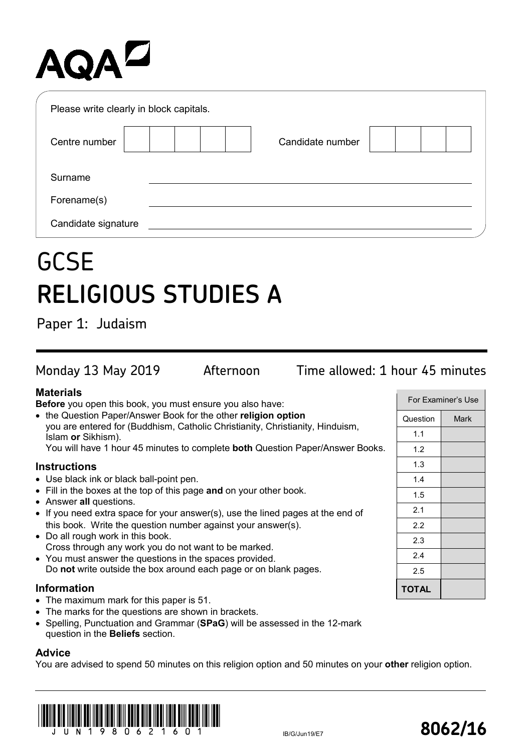# AQA<sup>D</sup>

| Please write clearly in block capitals. |                  |  |
|-----------------------------------------|------------------|--|
| Centre number                           | Candidate number |  |
| Surname                                 |                  |  |
| Forename(s)                             |                  |  |
| Candidate signature                     |                  |  |

## **GCSE RELIGIOUS STUDIES A**

Paper 1: Judaism

Monday 13 May 2019 Afternoon Time allowed: 1 hour 45 minutes

### **Materials**

**Before** you open this book, you must ensure you also have:

• the Question Paper/Answer Book for the other **religion option** you are entered for (Buddhism, Catholic Christianity, Christianity, Hinduism, Islam **or** Sikhism). You will have 1 hour 45 minutes to complete **both** Question Paper/Answer Books.

#### **Instructions**

- Use black ink or black ball-point pen.
- Fill in the boxes at the top of this page **and** on your other book.
- Answer **all** questions.
- If you need extra space for your answer(s), use the lined pages at the end of this book. Write the question number against your answer(s).
- Do all rough work in this book. Cross through any work you do not want to be marked.
- You must answer the questions in the spaces provided. Do **not** write outside the box around each page or on blank pages.

#### **Information**

- The maximum mark for this paper is 51.
- The marks for the questions are shown in brackets.
- Spelling, Punctuation and Grammar (**SPaG**) will be assessed in the 12-mark question in the **Beliefs** section.

#### **Advice**

You are advised to spend 50 minutes on this religion option and 50 minutes on your **other** religion option.



| For Examiner's Use |      |
|--------------------|------|
| Question           | Mark |
| 1.1                |      |
| 1.2                |      |
| 1.3                |      |
| 1.4                |      |
| 1.5                |      |
| 2.1                |      |
| 2.2                |      |
| 2.3                |      |
| 2.4                |      |
| 2.5                |      |
| TOTAL              |      |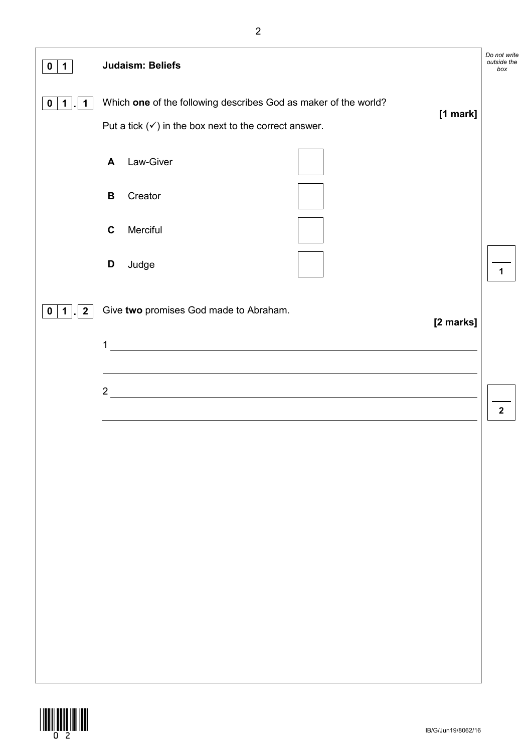| $\mathbf 1$<br>0                 | <b>Judaism: Beliefs</b>                                                                                                                         | Do not write<br>outside the<br>box |
|----------------------------------|-------------------------------------------------------------------------------------------------------------------------------------------------|------------------------------------|
| $\mathbf 1$<br>0<br>1            | Which one of the following describes God as maker of the world?<br>[1 mark]<br>Put a tick $(\checkmark)$ in the box next to the correct answer. |                                    |
|                                  | Law-Giver<br>A                                                                                                                                  |                                    |
|                                  | Creator<br>B                                                                                                                                    |                                    |
|                                  | Merciful<br>$\mathbf c$                                                                                                                         |                                    |
|                                  | D<br>Judge                                                                                                                                      | 1                                  |
| $\mathbf{2}$<br>0<br>$\mathbf 1$ | Give two promises God made to Abraham.<br>[2 marks]                                                                                             |                                    |
|                                  | <u> 1989 - Johann Stoff, deutscher Stoff, der Stoff, der Stoff, der Stoff, der Stoff, der Stoff, der Stoff, der S</u><br>1                      |                                    |
|                                  | <u> 1989 - Johann Stoff, deutscher Stoffen und der Stoffen und der Stoffen und der Stoffen und der Stoffen und der</u><br>$\overline{2}$        | $\mathbf{2}$                       |
|                                  |                                                                                                                                                 |                                    |
|                                  |                                                                                                                                                 |                                    |
|                                  |                                                                                                                                                 |                                    |
|                                  |                                                                                                                                                 |                                    |
|                                  |                                                                                                                                                 |                                    |
|                                  |                                                                                                                                                 |                                    |
|                                  |                                                                                                                                                 |                                    |



2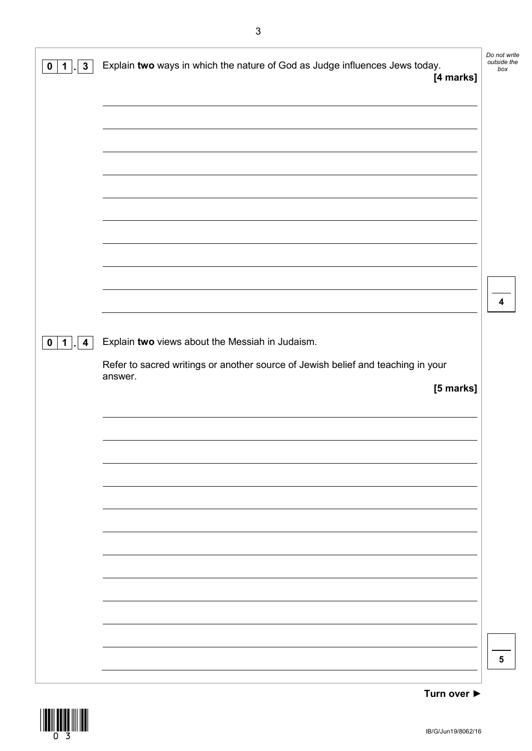| $\mathbf{3}$<br>0<br>1 | Explain two ways in which the nature of God as Judge influences Jews today.<br>[4 marks]    | Do not write<br>outside the<br>box |
|------------------------|---------------------------------------------------------------------------------------------|------------------------------------|
|                        |                                                                                             |                                    |
|                        |                                                                                             |                                    |
|                        |                                                                                             |                                    |
|                        |                                                                                             |                                    |
|                        |                                                                                             |                                    |
|                        |                                                                                             |                                    |
|                        |                                                                                             |                                    |
|                        |                                                                                             | 4                                  |
| 4<br>$\mathbf 0$<br>1  | Explain two views about the Messiah in Judaism.                                             |                                    |
|                        | Refer to sacred writings or another source of Jewish belief and teaching in your<br>answer. |                                    |
|                        | [5 marks]                                                                                   |                                    |
|                        |                                                                                             |                                    |
|                        |                                                                                             |                                    |
|                        |                                                                                             |                                    |
|                        |                                                                                             |                                    |
|                        |                                                                                             |                                    |
|                        |                                                                                             |                                    |
|                        |                                                                                             |                                    |
|                        |                                                                                             |                                    |
|                        |                                                                                             | 5                                  |
|                        |                                                                                             |                                    |

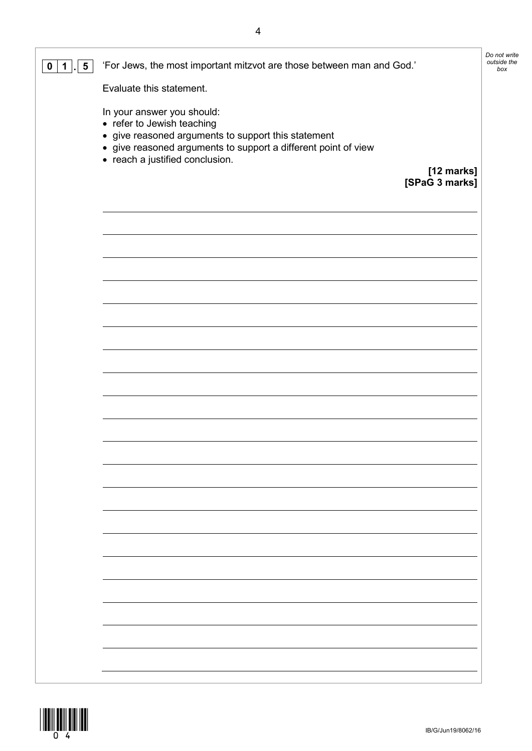|                           |                                                                       | Do not write       |
|---------------------------|-----------------------------------------------------------------------|--------------------|
| $5\phantom{.0}$<br>0<br>1 | 'For Jews, the most important mitzvot are those between man and God.' | outside the<br>box |
|                           |                                                                       |                    |
|                           | Evaluate this statement.                                              |                    |
|                           | In your answer you should:                                            |                    |
|                           | • refer to Jewish teaching                                            |                    |
|                           | • give reasoned arguments to support this statement                   |                    |
|                           | • give reasoned arguments to support a different point of view        |                    |
|                           | • reach a justified conclusion.<br>[12 marks]                         |                    |
|                           | [SPaG 3 marks]                                                        |                    |
|                           |                                                                       |                    |
|                           |                                                                       |                    |
|                           |                                                                       |                    |
|                           |                                                                       |                    |
|                           |                                                                       |                    |
|                           |                                                                       |                    |
|                           |                                                                       |                    |
|                           |                                                                       |                    |
|                           |                                                                       |                    |
|                           |                                                                       |                    |
|                           |                                                                       |                    |
|                           |                                                                       |                    |
|                           |                                                                       |                    |
|                           |                                                                       |                    |
|                           |                                                                       |                    |
|                           |                                                                       |                    |
|                           |                                                                       |                    |
|                           |                                                                       |                    |
|                           |                                                                       |                    |
|                           |                                                                       |                    |
|                           |                                                                       |                    |
|                           |                                                                       |                    |
|                           |                                                                       |                    |
|                           |                                                                       |                    |
|                           |                                                                       |                    |
|                           |                                                                       |                    |
|                           |                                                                       |                    |
|                           |                                                                       |                    |
|                           |                                                                       |                    |
|                           |                                                                       |                    |
|                           |                                                                       |                    |
|                           |                                                                       |                    |
|                           |                                                                       |                    |
|                           |                                                                       |                    |
|                           |                                                                       |                    |

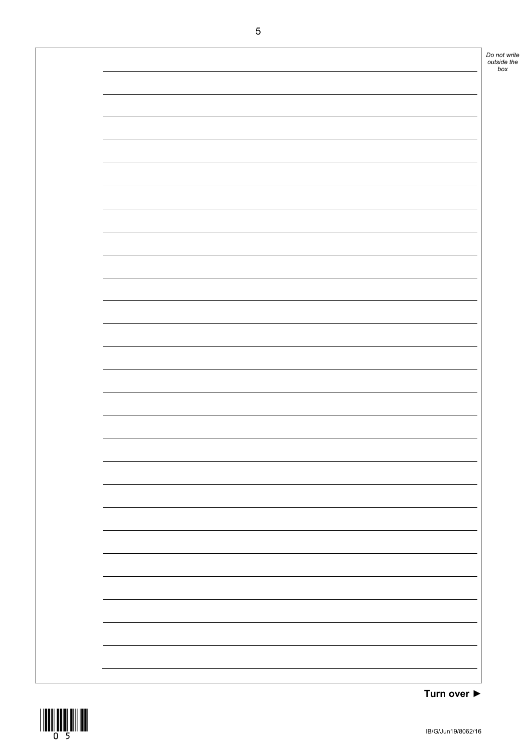



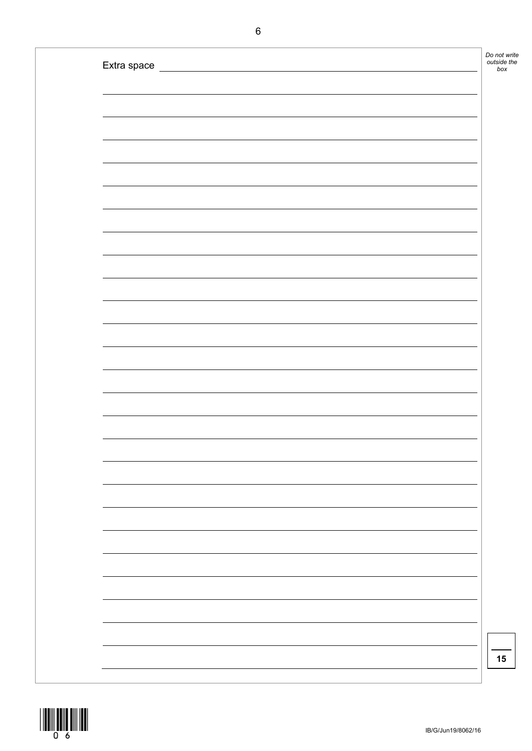|  | Do not write<br>outside the<br>box |
|--|------------------------------------|
|  |                                    |
|  |                                    |
|  |                                    |
|  |                                    |
|  |                                    |
|  |                                    |
|  |                                    |
|  |                                    |
|  |                                    |
|  |                                    |
|  |                                    |
|  |                                    |
|  |                                    |
|  |                                    |
|  |                                    |
|  |                                    |
|  |                                    |
|  |                                    |
|  |                                    |
|  |                                    |
|  |                                    |
|  |                                    |
|  |                                    |
|  |                                    |
|  |                                    |
|  | 15                                 |
|  |                                    |

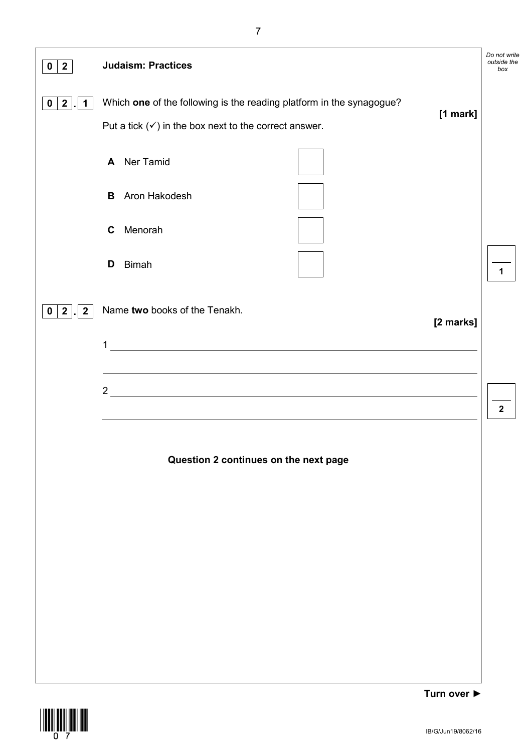| $2 \mid$<br>$\mathbf 0$                 | <b>Judaism: Practices</b>                                                                                                                            | Do not write<br>outside the<br>box |
|-----------------------------------------|------------------------------------------------------------------------------------------------------------------------------------------------------|------------------------------------|
| $\mathbf 1$<br>$\mathbf{2}$<br>$\bf{0}$ | Which one of the following is the reading platform in the synagogue?<br>[1 mark]<br>Put a tick $(\checkmark)$ in the box next to the correct answer. |                                    |
|                                         | <b>Ner Tamid</b><br>A                                                                                                                                |                                    |
|                                         | Aron Hakodesh<br>B                                                                                                                                   |                                    |
|                                         | Menorah<br>$\mathbf c$                                                                                                                               |                                    |
|                                         | <b>Bimah</b><br>D                                                                                                                                    | 1                                  |
| $\boldsymbol{2}$<br>$\mathbf{2}$<br>0   | Name two books of the Tenakh.<br>[2 marks]                                                                                                           |                                    |
|                                         | <u> 1989 - Johann Stein, marwolaethau a bhann an t-Amhain Aonaichte ann an t-Amhain Aonaichte ann an t-Amhain Aon</u><br>1                           |                                    |
|                                         | <u> 1989 - Johann Stoff, deutscher Stoffen und der Stoffen und der Stoffen und der Stoffen und der Stoffen und der</u><br>$\overline{2}$             | $\mathbf{2}$                       |
|                                         | Question 2 continues on the next page                                                                                                                |                                    |
|                                         |                                                                                                                                                      |                                    |
|                                         |                                                                                                                                                      |                                    |
|                                         |                                                                                                                                                      |                                    |
|                                         |                                                                                                                                                      |                                    |
|                                         |                                                                                                                                                      |                                    |

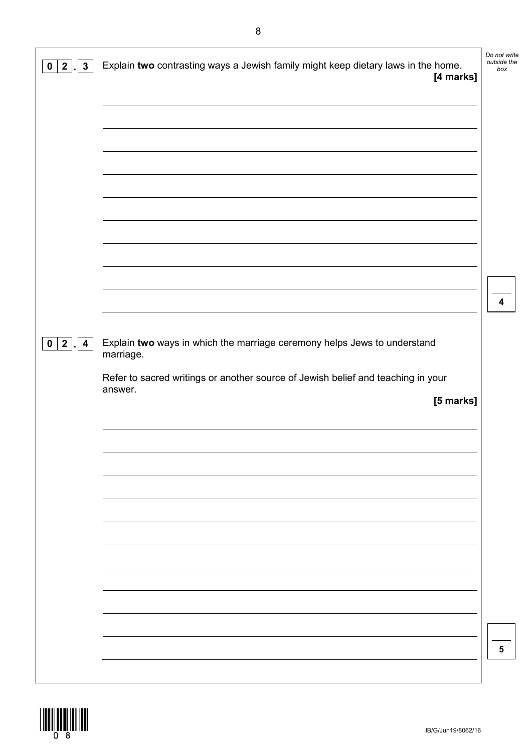| $\mathbf{3}$<br>$\mathbf{2}$<br>$\mathbf 0$                       | Explain two contrasting ways a Jewish family might keep dietary laws in the home.<br>[4 marks] | Do not write<br>outside the<br>box |
|-------------------------------------------------------------------|------------------------------------------------------------------------------------------------|------------------------------------|
|                                                                   |                                                                                                |                                    |
|                                                                   |                                                                                                |                                    |
|                                                                   |                                                                                                |                                    |
|                                                                   |                                                                                                |                                    |
|                                                                   |                                                                                                |                                    |
|                                                                   |                                                                                                |                                    |
|                                                                   |                                                                                                |                                    |
|                                                                   |                                                                                                |                                    |
|                                                                   |                                                                                                | 4                                  |
| $\overline{\mathbf{2}}$<br>$\overline{\mathbf{4}}$<br>$\mathbf 0$ | Explain two ways in which the marriage ceremony helps Jews to understand<br>marriage.          |                                    |
|                                                                   | Refer to sacred writings or another source of Jewish belief and teaching in your<br>answer.    |                                    |
|                                                                   | [5 marks]                                                                                      |                                    |
|                                                                   |                                                                                                |                                    |
|                                                                   |                                                                                                |                                    |
|                                                                   |                                                                                                |                                    |
|                                                                   |                                                                                                |                                    |
|                                                                   |                                                                                                |                                    |
|                                                                   |                                                                                                |                                    |
|                                                                   |                                                                                                |                                    |
|                                                                   |                                                                                                |                                    |
|                                                                   |                                                                                                |                                    |
|                                                                   |                                                                                                | 5                                  |
|                                                                   |                                                                                                |                                    |

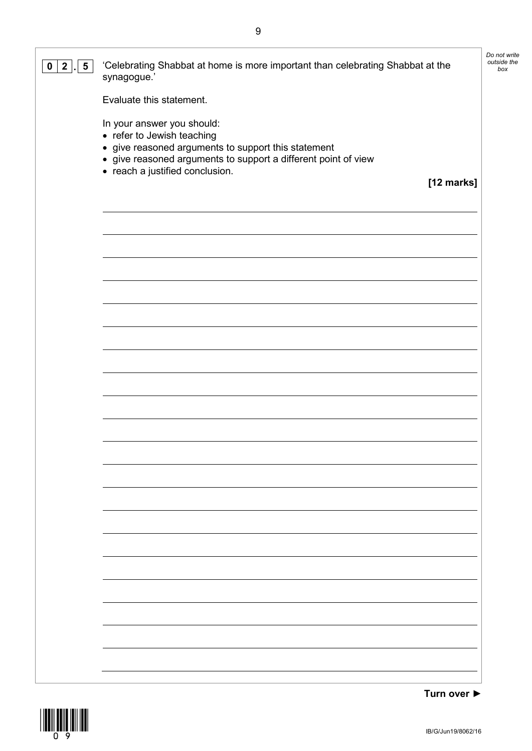| $5\phantom{.0}$<br>$\mathbf{2}$<br>0 | 'Celebrating Shabbat at home is more important than celebrating Shabbat at the<br>synagogue.'                                                                                                                        | Do not write<br>outside the<br>box |
|--------------------------------------|----------------------------------------------------------------------------------------------------------------------------------------------------------------------------------------------------------------------|------------------------------------|
|                                      | Evaluate this statement.                                                                                                                                                                                             |                                    |
|                                      | In your answer you should:<br>• refer to Jewish teaching<br>• give reasoned arguments to support this statement<br>• give reasoned arguments to support a different point of view<br>• reach a justified conclusion. |                                    |
|                                      | [12 marks]                                                                                                                                                                                                           |                                    |
|                                      |                                                                                                                                                                                                                      |                                    |
|                                      |                                                                                                                                                                                                                      |                                    |
|                                      |                                                                                                                                                                                                                      |                                    |
|                                      |                                                                                                                                                                                                                      |                                    |
|                                      |                                                                                                                                                                                                                      |                                    |
|                                      |                                                                                                                                                                                                                      |                                    |
|                                      |                                                                                                                                                                                                                      |                                    |
|                                      |                                                                                                                                                                                                                      |                                    |
|                                      |                                                                                                                                                                                                                      |                                    |
|                                      |                                                                                                                                                                                                                      |                                    |
|                                      |                                                                                                                                                                                                                      |                                    |
|                                      |                                                                                                                                                                                                                      |                                    |
|                                      |                                                                                                                                                                                                                      |                                    |
|                                      |                                                                                                                                                                                                                      |                                    |
|                                      | Turn over ▶                                                                                                                                                                                                          |                                    |

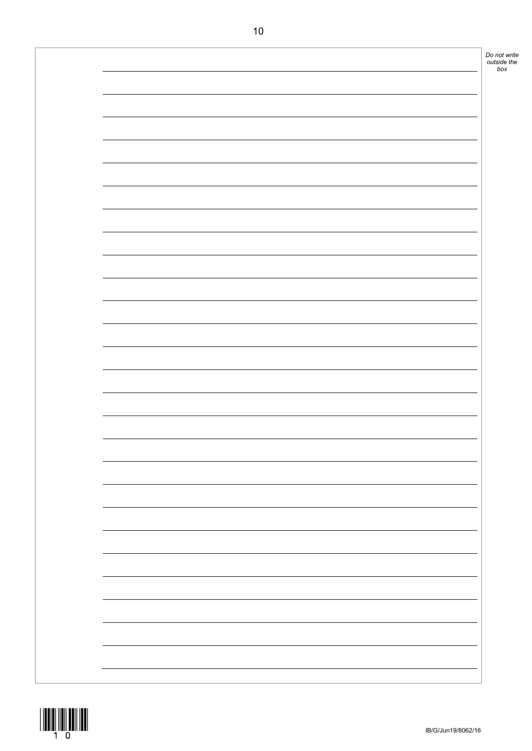

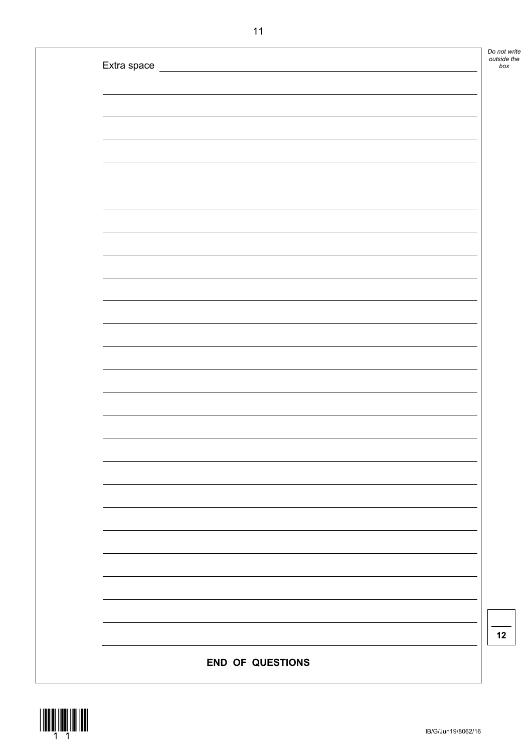|  | IB/G/Jun19/8062/16 |
|--|--------------------|
|--|--------------------|

**12**

*Do not write outside the box*

| $\overline{1}$ | IB/G/Jun19/8062/16 |
|----------------|--------------------|
|----------------|--------------------|

| <b>END OF QUESTIONS</b> |
|-------------------------|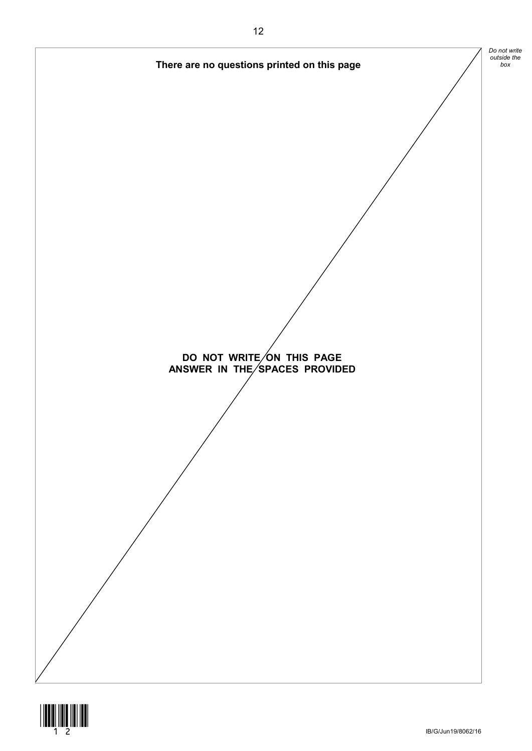



12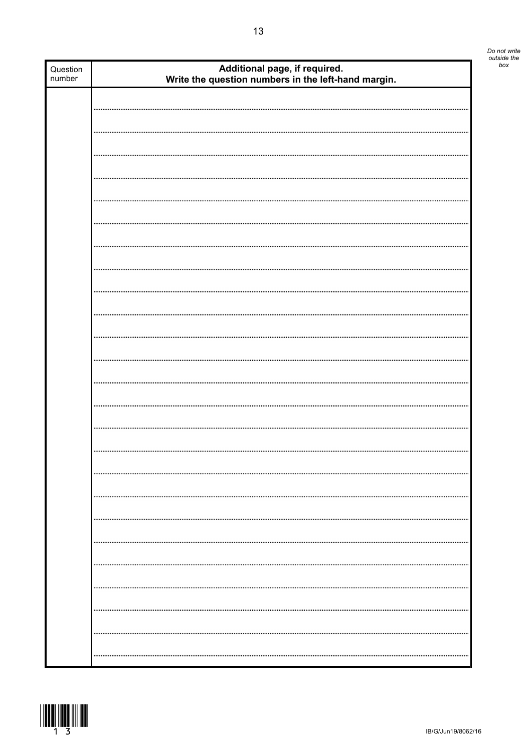| Question<br>number | Additional page, if required.<br>Write the question numbers in the left-hand margin. |  |
|--------------------|--------------------------------------------------------------------------------------|--|
|                    |                                                                                      |  |
|                    |                                                                                      |  |
|                    |                                                                                      |  |
|                    |                                                                                      |  |
|                    |                                                                                      |  |
|                    |                                                                                      |  |
|                    |                                                                                      |  |
|                    |                                                                                      |  |
|                    |                                                                                      |  |
|                    |                                                                                      |  |
|                    |                                                                                      |  |
|                    |                                                                                      |  |
|                    |                                                                                      |  |
|                    |                                                                                      |  |
|                    |                                                                                      |  |
|                    |                                                                                      |  |
|                    |                                                                                      |  |
|                    |                                                                                      |  |
|                    |                                                                                      |  |
|                    |                                                                                      |  |
|                    |                                                                                      |  |
|                    |                                                                                      |  |
|                    |                                                                                      |  |
|                    |                                                                                      |  |
|                    |                                                                                      |  |
|                    |                                                                                      |  |
|                    |                                                                                      |  |
|                    |                                                                                      |  |
|                    |                                                                                      |  |
|                    |                                                                                      |  |
|                    |                                                                                      |  |
|                    |                                                                                      |  |
|                    |                                                                                      |  |
|                    |                                                                                      |  |
|                    |                                                                                      |  |
|                    |                                                                                      |  |
|                    |                                                                                      |  |
|                    |                                                                                      |  |
|                    |                                                                                      |  |
|                    |                                                                                      |  |
|                    |                                                                                      |  |

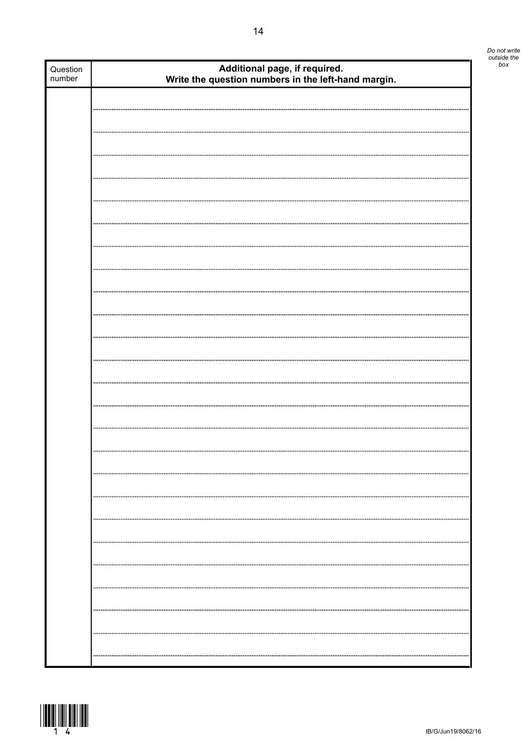| Question<br>number | Additional page, if required.<br>Write the question numbers in the left-hand margin. | box |
|--------------------|--------------------------------------------------------------------------------------|-----|
|                    |                                                                                      |     |
|                    |                                                                                      |     |
|                    |                                                                                      |     |
|                    |                                                                                      |     |
|                    |                                                                                      |     |
|                    |                                                                                      |     |
|                    |                                                                                      |     |
|                    |                                                                                      |     |
|                    |                                                                                      |     |
|                    |                                                                                      |     |
|                    |                                                                                      |     |
|                    |                                                                                      |     |
|                    |                                                                                      |     |
|                    |                                                                                      |     |
|                    |                                                                                      |     |
|                    |                                                                                      |     |
|                    |                                                                                      |     |
|                    |                                                                                      |     |
|                    |                                                                                      |     |
|                    |                                                                                      |     |
|                    |                                                                                      |     |
|                    |                                                                                      |     |
|                    |                                                                                      |     |
|                    |                                                                                      |     |
|                    |                                                                                      |     |
|                    |                                                                                      |     |
|                    |                                                                                      |     |
|                    |                                                                                      |     |
|                    |                                                                                      |     |
|                    |                                                                                      |     |
|                    |                                                                                      |     |
|                    |                                                                                      |     |
|                    |                                                                                      |     |
|                    |                                                                                      |     |
|                    |                                                                                      |     |
|                    |                                                                                      |     |
|                    |                                                                                      |     |
|                    |                                                                                      |     |
|                    |                                                                                      |     |
|                    |                                                                                      |     |



*Do not write outside the*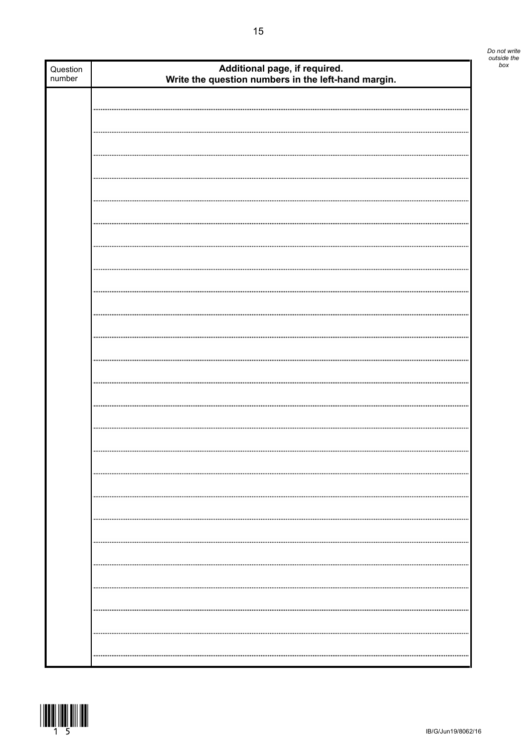| Question<br>number | Additional page, if required.<br>Write the question numbers in the left-hand margin. |  |
|--------------------|--------------------------------------------------------------------------------------|--|
|                    |                                                                                      |  |
|                    |                                                                                      |  |
|                    |                                                                                      |  |
|                    |                                                                                      |  |
|                    |                                                                                      |  |
|                    |                                                                                      |  |
|                    |                                                                                      |  |
|                    |                                                                                      |  |
|                    |                                                                                      |  |
|                    |                                                                                      |  |
|                    |                                                                                      |  |
|                    |                                                                                      |  |
|                    |                                                                                      |  |
|                    |                                                                                      |  |
|                    |                                                                                      |  |
|                    |                                                                                      |  |
|                    |                                                                                      |  |
|                    |                                                                                      |  |
|                    |                                                                                      |  |
|                    |                                                                                      |  |
|                    |                                                                                      |  |
|                    |                                                                                      |  |
|                    |                                                                                      |  |
|                    |                                                                                      |  |
|                    |                                                                                      |  |
|                    |                                                                                      |  |
|                    |                                                                                      |  |
|                    |                                                                                      |  |
|                    |                                                                                      |  |
|                    |                                                                                      |  |
|                    |                                                                                      |  |
|                    |                                                                                      |  |
|                    |                                                                                      |  |
|                    |                                                                                      |  |
|                    |                                                                                      |  |
|                    |                                                                                      |  |
|                    |                                                                                      |  |
|                    |                                                                                      |  |
|                    |                                                                                      |  |
|                    |                                                                                      |  |
|                    |                                                                                      |  |



 $\overline{\phantom{a}}$ 

*Do not write outside the*